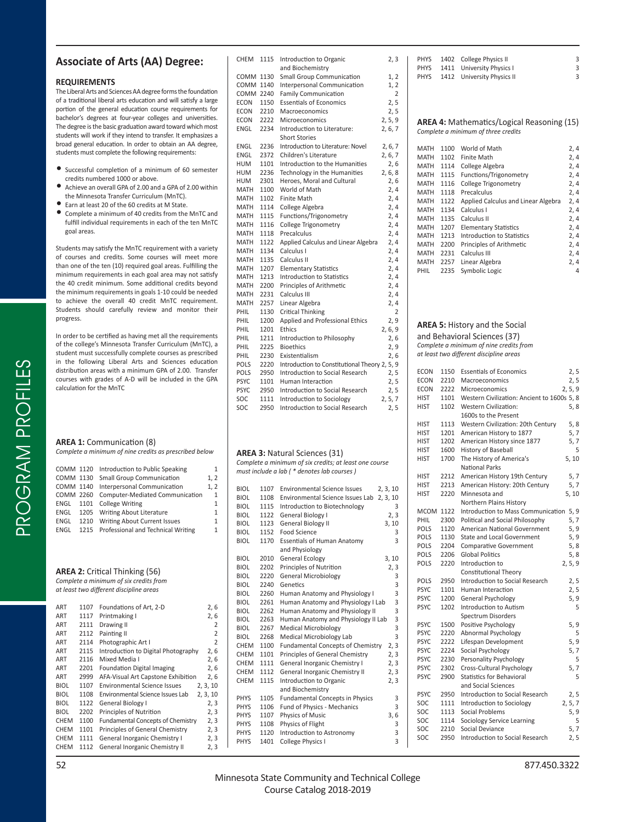# **Associate of Arts (AA) Degree:**

#### **REQUIREMENTS**

The Liberal Arts and Sciences AA degree forms the foundation of a traditional liberal arts education and will satisfy a large portion of the general education course requirements for bachelor's degrees at four-year colleges and universities. The degree is the basic graduation award toward which most students will work if they intend to transfer. It emphasizes a broad general education. In order to obtain an AA degree, students must complete the following requirements:

- Successful completion of a minimum of 60 semester credits numbered 1000 or above.
- Achieve an overall GPA of 2.00 and a GPA of 2.00 within the Minnesota Transfer Curriculum (MnTC).
- Earn at least 20 of the 60 credits at M State.
- Complete a minimum of 40 credits from the MnTC and fulfill individual requirements in each of the ten MnTC goal areas.

Students may satisfy the MnTC requirement with a variety of courses and credits. Some courses will meet more than one of the ten (10) required goal areas. Fulfilling the minimum requirements in each goal area may not satisfy the 40 credit minimum. Some additional credits beyond the minimum requirements in goals 1-10 could be needed to achieve the overall 40 credit MnTC requirement. Students should carefully review and monitor their progress.

In order to be certified as having met all the requirements of the college's Minnesota Transfer Curriculum (MnTC), a student must successfully complete courses as prescribed in the following Liberal Arts and Sciences education distribution areas with a minimum GPA of 2.00. Transfer courses with grades of A-D will be included in the GPA calculation for the MnTC

## **AREA 1:** Communication (8)

PROGRAM PROFILES

PROGRAM PROFILES

|  |  |  |  |  | Complete a minimum of nine credits as prescribed below |
|--|--|--|--|--|--------------------------------------------------------|
|--|--|--|--|--|--------------------------------------------------------|

| COMM 1120 | Introduction to Public Speaking              | 1            |
|-----------|----------------------------------------------|--------------|
| COMM 1130 | <b>Small Group Communication</b>             | 1, 2         |
| COMM 1140 | Interpersonal Communication                  | 1.2          |
| COMM 2260 | Computer-Mediated Communication              | $\mathbf{1}$ |
|           | ENGL 1101 College Writing                    | 1            |
|           | ENGL 1205 Writing About Literature           | 1            |
| ENGL      | 1210 Writing About Current Issues            | 1            |
|           | ENGL 1215 Professional and Technical Writing | $\mathbf{1}$ |
|           |                                              |              |

### **AREA 2: Critical Thinking (56)**

*Complete a minimum of six credits from at least two diff erent discipline areas*

| ART         | 1107 | Foundations of Art, 2-D                  | 2, 6           |
|-------------|------|------------------------------------------|----------------|
| ART         | 1117 | Printmaking I                            | 2, 6           |
| ART         | 2111 | Drawing II                               | 2              |
| ART         | 2112 | Painting II                              | 2              |
| ART         | 2114 | Photographic Art I                       | $\overline{2}$ |
| ART         | 2115 | Introduction to Digital Photography      | 2, 6           |
| ART         | 2116 | Mixed Media I                            | 2,6            |
| ART         | 2201 | <b>Foundation Digital Imaging</b>        | 2,6            |
| ART         | 2999 | AFA-Visual Art Capstone Exhibition       | 2, 6           |
| <b>BIOL</b> | 1107 | Environmental Science Issues             | 2, 3, 10       |
| <b>BIOL</b> | 1108 | Environmental Science Issues Lab         | 2, 3, 10       |
| <b>BIOL</b> | 1122 | General Biology I                        | 2, 3           |
| BIOL        | 2202 | Principles of Nutrition                  | 2, 3           |
| <b>CHEM</b> | 1100 | <b>Fundamental Concepts of Chemistry</b> | 2, 3           |
| <b>CHEM</b> | 1101 | Principles of General Chemistry          | 2, 3           |
| <b>CHEM</b> | 1111 | General Inorganic Chemistry I            | 2, 3           |
| <b>CHEM</b> | 1112 | General Inorganic Chemistry II           | 2, 3           |

|                            | 1115         | Introduction to Organic                                                                        | 2, 3           |
|----------------------------|--------------|------------------------------------------------------------------------------------------------|----------------|
|                            |              | and Biochemistry                                                                               |                |
| COMM                       | 1130         | <b>Small Group Communication</b>                                                               | 1, 2           |
| COMM<br>COMM 2240          | 1140         | Interpersonal Communication<br><b>Family Communication</b>                                     | 1, 2<br>2      |
| ECON                       | 1150         | <b>Essentials of Economics</b>                                                                 | 2, 5           |
| ECON                       | 2210         | Macroeconomics                                                                                 | 2, 5           |
| ECON                       | 2222         | <b>Microeconomics</b>                                                                          | 2, 5, 9        |
| ENGL                       | 2234         | Introduction to Literature:                                                                    | 2, 6, 7        |
|                            |              | <b>Short Stories</b>                                                                           |                |
| ENGL                       | 2236         | Introduction to Literature: Novel                                                              | 2, 6, 7        |
| ENGL                       | 2372         | Children's Literature                                                                          | 2, 6, 7        |
| HUM<br>HUM                 | 1101<br>2236 | Introduction to the Humanities                                                                 | 2, 6           |
| HUM                        | 2301         | Technology in the Humanities<br>Heroes, Moral and Cultural                                     | 2, 6, 8<br>2,6 |
| MATH                       | 1100         | World of Math                                                                                  | 2, 4           |
| MATH                       | 1102         | Finite Math                                                                                    | 2, 4           |
| <b>MATH</b>                | 1114         | College Algebra                                                                                | 2,4            |
| MATH                       | 1115         | Functions/Trigonometry                                                                         | 2,4            |
| <b>MATH</b>                | 1116         | College Trigonometry                                                                           | 2,4            |
| MATH                       | 1118         | Precalculus                                                                                    | 2, 4           |
| MATH                       | 1122         | Applied Calculus and Linear Algebra                                                            | 2, 4           |
| <b>MATH</b>                | 1134         | Calculus I<br>Calculus II                                                                      | 2,4            |
| MATH<br><b>MATH</b>        | 1135<br>1207 | <b>Elementary Statistics</b>                                                                   | 2, 4<br>2,4    |
| MATH                       | 1213         | Introduction to Statistics                                                                     | 2, 4           |
| MATH                       | 2200         | Principles of Arithmetic                                                                       | 2,4            |
| <b>MATH</b>                | 2231         | Calculus III                                                                                   | 2, 4           |
| MATH                       | 2257         | Linear Algebra                                                                                 | 2,4            |
| PHIL                       | 1130         | <b>Critical Thinking</b>                                                                       | 2              |
| PHIL                       | 1200         | Applied and Professional Ethics                                                                | 2, 9           |
| PHIL                       | 1201         | Ethics                                                                                         | 2, 6, 9        |
| PHIL                       | 1211         | Introduction to Philosophy                                                                     | 2, 6           |
| PHIL                       | 2225         | <b>Bioethics</b>                                                                               | 2, 9           |
| PHIL<br>POLS               | 2230<br>2220 | Existentialism<br>Introduction to Constitutional Theory 2, 5, 9                                | 2, 6           |
| POLS                       | 2950         | Introduction to Social Research                                                                | 2, 5           |
| <b>PSYC</b>                | 1101         | Human Interaction                                                                              | 2, 5           |
| <b>PSYC</b>                | 2950         | Introduction to Social Research                                                                | 2, 5           |
| SOC                        | 1111         | Introduction to Sociology                                                                      | 2, 5, 7        |
| SOC                        |              | Introduction to Social Research                                                                |                |
|                            | 2950         |                                                                                                | 2, 5           |
|                            |              | <b>AREA 3: Natural Sciences (31)</b><br>Complete a minimum of six credits; at least one course |                |
|                            |              | must include a lab (* denotes lab courses)                                                     |                |
|                            |              |                                                                                                |                |
| <b>BIOL</b>                | 1107         | <b>Environmental Science Issues</b>                                                            | 2, 3, 10       |
| <b>BIOL</b><br><b>BIOL</b> | 1108<br>1115 | Environmental Science Issues Lab<br>Introduction to Biotechnology                              | 2, 3, 10<br>3  |
| <b>BIOL</b>                | 1122         | <b>General Biology I</b>                                                                       | 2, 3           |
| <b>BIOL</b>                | 1123         | General Biology II                                                                             | 3, 10          |
| <b>BIOL</b>                | 1152         | Food Science                                                                                   | 3              |
| <b>BIOL</b>                | 1170         | <b>Essentials of Human Anatomy</b>                                                             | 3              |
|                            |              | and Physiology                                                                                 |                |
| <b>BIOL</b>                | 2010         | <b>General Ecology</b>                                                                         | 3, 10          |
| <b>BIOL</b>                | 2202         | Principles of Nutrition                                                                        | 2, 3           |
| <b>BIOL</b>                | 2220         | <b>General Microbiology</b>                                                                    | 3              |
| <b>BIOL</b>                | 2240<br>2260 | Genetics                                                                                       | 3<br>3         |
| <b>BIOL</b><br><b>BIOL</b> | 2261         | Human Anatomy and Physiology I<br>Human Anatomy and Physiology I Lab                           | 3              |
| <b>BIOL</b>                | 2262         | Human Anatomy and Physiology II                                                                | 3              |
| BIOL                       | 2263         | Human Anatomy and Physiology II Lab                                                            | 3              |
| <b>BIOL</b>                | 2267         | <b>Medical Microbiology</b>                                                                    | 3              |
| <b>BIOL</b>                | 2268         | Medical Microbiology Lab                                                                       | 3              |
| <b>CHEM</b>                | 1100         | <b>Fundamental Concepts of Chemistry</b>                                                       | 2, 3           |
| CHEM                       | 1101         | Principles of General Chemistry                                                                | 2, 3           |
| <b>CHEM</b>                | 1111         | General Inorganic Chemistry I                                                                  | 2, 3           |
| <b>CHEM</b><br><b>CHEM</b> | 1112<br>1115 | General Inorganic Chemistry II                                                                 | 2, 3           |
|                            |              | Introduction to Organic<br>and Biochemistry                                                    | 2, 3           |
| <b>PHYS</b>                | 1105         | <b>Fundamental Concepts in Physics</b>                                                         | 3              |
| PHYS                       | 1106         | Fund of Physics - Mechanics                                                                    | 3              |
| PHYS                       | 1107         | Physics of Music                                                                               | 3, 6           |
| <b>PHYS</b>                | 1108         | Physics of Flight                                                                              | 3              |
| PHYS<br><b>PHYS</b>        | 1120<br>1401 | Introduction to Astronomy<br>College Physics I                                                 | 3<br>3         |

| <b>PHYS</b> | 1402 | College Physics II                                | 3       |
|-------------|------|---------------------------------------------------|---------|
| PHYS        | 1411 | University Physics I                              | 3       |
| <b>PHYS</b> | 1412 | University Physics II                             | 3       |
|             |      |                                                   |         |
|             |      |                                                   |         |
|             |      | <b>AREA 4:</b> Mathematics/Logical Reasoning (15) |         |
|             |      | Complete a minimum of three credits               |         |
| MATH        | 1100 | World of Math                                     | 2, 4    |
| <b>MATH</b> | 1102 | <b>Finite Math</b>                                | 2,4     |
| MATH        | 1114 | College Algebra                                   | 2,4     |
| <b>MATH</b> | 1115 | Functions/Trigonometry                            | 2,4     |
| MATH        | 1116 | College Trigonometry                              | 2,4     |
| <b>MATH</b> | 1118 | Precalculus                                       | 2,4     |
| MATH        | 1122 | Applied Calculus and Linear Algebra               | 2, 4    |
| <b>MATH</b> | 1134 | Calculus I                                        | 2, 4    |
| MATH        | 1135 | Calculus II                                       | 2,4     |
| <b>MATH</b> | 1207 | <b>Elementary Statistics</b>                      | 2,4     |
| MATH        | 1213 | Introduction to Statistics                        | 2, 4    |
| <b>MATH</b> | 2200 | Principles of Arithmetic                          | 2,4     |
| MATH        | 2231 | Calculus III                                      | 2, 4    |
| <b>MATH</b> | 2257 | Linear Algebra                                    | 2,4     |
| PHIL        | 2235 | Symbolic Logic                                    | 4       |
|             |      |                                                   |         |
|             |      |                                                   |         |
|             |      | <b>AREA 5: History and the Social</b>             |         |
|             |      |                                                   |         |
|             |      | and Behavioral Sciences (37)                      |         |
|             |      | Complete a minimum of nine credits from           |         |
|             |      | at least two different discipline areas           |         |
| <b>ECON</b> | 1150 | <b>Essentials of Economics</b>                    | 2, 5    |
| <b>ECON</b> | 2210 | Macroeconomics                                    | 2, 5    |
| <b>ECON</b> | 2222 | <b>Microeconomics</b>                             | 2, 5, 9 |
| HIST        | 1101 | Western Civilization: Ancient to 1600s 5, 8       |         |
| <b>HIST</b> | 1102 | <b>Western Civilization:</b>                      | 5,8     |
|             |      | 1600s to the Present                              |         |
| <b>HIST</b> | 1113 | Western Civilization: 20th Century                | 5,8     |
| HIST        | 1201 | American History to 1877                          | 5, 7    |
| <b>HIST</b> | 1202 | American History since 1877                       | 5,7     |

|             |      | 1600s to the Present                    |         |
|-------------|------|-----------------------------------------|---------|
| <b>HIST</b> | 1113 | Western Civilization: 20th Century      | 5,8     |
| <b>HIST</b> | 1201 | American History to 1877                | 5, 7    |
| HIST        | 1202 | American History since 1877             | 5, 7    |
| HIST        | 1600 | History of Baseball                     | 5       |
| <b>HIST</b> | 1700 | The History of America's                | 5, 10   |
|             |      | <b>National Parks</b>                   |         |
| <b>HIST</b> | 2212 | American History 19th Century           | 5, 7    |
| <b>HIST</b> | 2213 | American History: 20th Century          | 5, 7    |
| <b>HIST</b> | 2220 | Minnesota and                           | 5, 10   |
|             |      | Northern Plains History                 |         |
| MCOM        | 1122 | Introduction to Mass Communication 5, 9 |         |
| PHIL        | 2300 | Political and Social Philosophy         | 5, 7    |
| POLS        | 1120 | American National Government            | 5, 9    |
| POLS        | 1130 | State and Local Government              | 5, 9    |
| POLS        | 2204 | <b>Comparative Government</b>           | 5, 8    |
| POLS        | 2206 | <b>Global Politics</b>                  | 5, 8    |
| POLS        | 2220 | Introduction to                         | 2, 5, 9 |
|             |      | <b>Constitutional Theory</b>            |         |
| POLS        | 2950 | Introduction to Social Research         | 2, 5    |
| <b>PSYC</b> | 1101 | Human Interaction                       | 2, 5    |
| PSYC.       | 1200 | General Psychology                      | 5, 9    |
| <b>PSYC</b> | 1202 | Introduction to Autism                  | 5       |
|             |      | Spectrum Disorders                      |         |
| <b>PSYC</b> | 1500 | Positive Psychology                     | 5, 9    |
| <b>PSYC</b> | 2220 | Abnormal Psychology                     | 5       |
| <b>PSYC</b> | 2222 | Lifespan Development                    | 5, 9    |
| <b>PSYC</b> | 2224 | Social Psychology                       | 5,7     |
| <b>PSYC</b> | 2230 | Personality Psychology                  | 5       |
| <b>PSYC</b> | 2302 | Cross-Cultural Psychology               | 5, 7    |
| <b>PSYC</b> | 2900 | <b>Statistics for Behavioral</b>        | 5       |
|             |      | and Social Sciences                     |         |
| <b>PSYC</b> | 2950 | Introduction to Social Research         | 2, 5    |
| SOC         | 1111 | Introduction to Sociology               | 2, 5, 7 |
| SOC         | 1113 | <b>Social Problems</b>                  | 5, 9    |
| SOC         | 1114 | Sociology Service Learning              | 5       |
| SOC         | 2210 | Social Deviance                         | 5,7     |
| SOC         | 2950 | Introduction to Social Research         | 2, 5    |